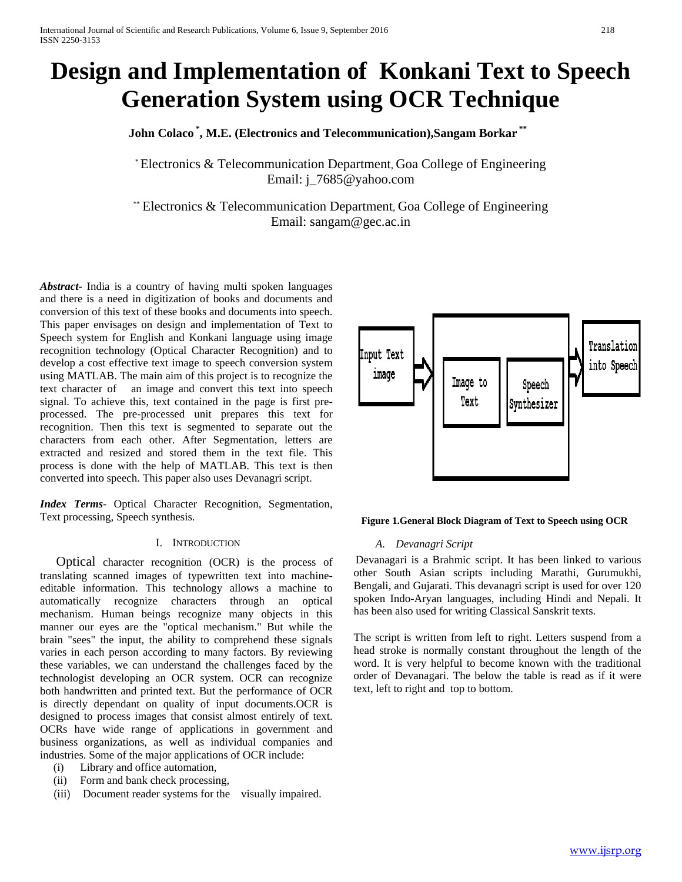# **Design and Implementation of Konkani Text to Speech Generation System using OCR Technique**

 **John Colaco \* , M.E. (Electronics and Telecommunication),Sangam Borkar \*\*** 

\* Electronics & Telecommunication Department, Goa College of Engineering Email: j\_7685@yahoo.com

\*\* Electronics & Telecommunication Department, Goa College of Engineering Email: sangam@gec.ac.in

*Abstract***-** India is a country of having multi spoken languages and there is a need in digitization of books and documents and conversion of this text of these books and documents into speech. This paper envisages on design and implementation of Text to Speech system for English and Konkani language using image recognition technology (Optical Character Recognition) and to develop a cost effective text image to speech conversion system using MATLAB. The main aim of this project is to recognize the text character of an image and convert this text into speech signal. To achieve this, text contained in the page is first preprocessed. The pre-processed unit prepares this text for recognition. Then this text is segmented to separate out the characters from each other. After Segmentation, letters are extracted and resized and stored them in the text file. This process is done with the help of MATLAB. This text is then converted into speech. This paper also uses Devanagri script.

*Index Terms*- Optical Character Recognition, Segmentation, Text processing, Speech synthesis.

#### I. INTRODUCTION

 Optical character recognition (OCR) is the process of translating scanned images of typewritten text into machineeditable information. This technology allows a machine to automatically recognize characters through an optical mechanism. Human beings recognize many objects in this manner our eyes are the "optical mechanism." But while the brain "sees" the input, the ability to comprehend these signals varies in each person according to many factors. By reviewing these variables, we can understand the challenges faced by the technologist developing an OCR system. OCR can recognize both handwritten and printed text. But the performance of OCR is directly dependant on quality of input documents.OCR is designed to process images that consist almost entirely of text. OCRs have wide range of applications in government and business organizations, as well as individual companies and industries. Some of the major applications of OCR include:

- (i) Library and office automation,
- (ii) Form and bank check processing,
- (iii) Document reader systems for the visually impaired.



#### **Figure 1.General Block Diagram of Text to Speech using OCR**

#### *A. Devanagri Script*

Devanagari is a Brahmic script. It has been linked to various other South Asian scripts including Marathi, Gurumukhi, Bengali, and Gujarati. This devanagri script is used for over 120 spoken Indo-Aryan languages, including Hindi and Nepali. It has been also used for writing Classical Sanskrit texts.

The script is written from left to right. Letters suspend from a head stroke is normally constant throughout the length of the word. It is very helpful to become known with the traditional order of Devanagari. The below the table is read as if it were text, left to right and top to bottom.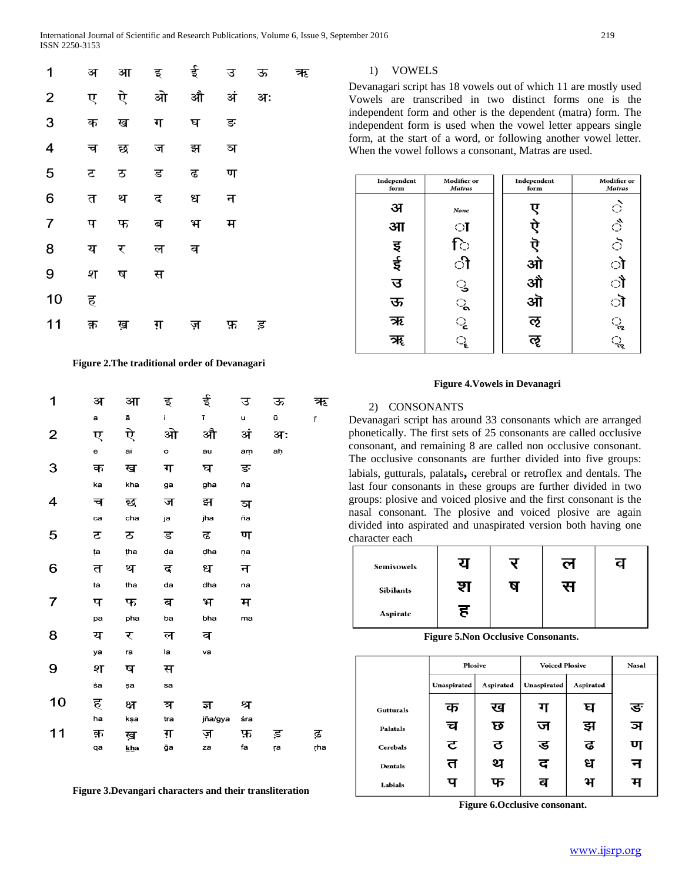| 1                       | अ  | आ  | इ    | ई  | उ  | ऊ  | ऋ |
|-------------------------|----|----|------|----|----|----|---|
| $\overline{2}$          | ए  | ऐ  | ओ    | औ  | अं | अः |   |
| 3                       | क  | ख  | ग    | घ  | ङ  |    |   |
| $\overline{\mathbf{4}}$ | च  | छ  | ज    | झ  | ञ  |    |   |
| 5                       | ਣ  | ठ  | ड    | ढ  | ण  |    |   |
| 6                       | त  | थ  | द    | ध  | न  |    |   |
| $\overline{7}$          | प  | फ  | ब    | भ  | म  |    |   |
| 8                       | य  | र  | ल    | व  |    |    |   |
| 9                       | श  | ष  | स    |    |    |    |   |
| 10                      | ह  |    |      |    |    |    |   |
| 11                      | क़ | ख़ | ग़ ज | ज़ | फ़ | ड़ |   |

#### **Figure 2.The traditional order of Devanagari**

| 1  | अ  | आ   | इ   | ई       | उ   | ऊ  | ऋ   |
|----|----|-----|-----|---------|-----|----|-----|
|    | a  | ā   | i.  | ī       | u   | ū  | ŗ   |
| 2  | ए  | ऐ   | ओ   | औ       | अं  | अः |     |
|    | e  | ai  | o   | au      | am  | ah |     |
| 3  | क  | ख   | ग   | घ       | ङ   |    |     |
|    | ka | kha | ga  | gha     | 'nа |    |     |
| 4  | च  | छ   | ज   | झ       | ञ   |    |     |
|    | ca | cha | ja  | jha     | ña  |    |     |
| 5  | ਟ  | ਠ   | ड   | ढ       | ण   |    |     |
|    | ta | tha | da  | dha     | ņa  |    |     |
| 6  | त  | थ   | द   | ध       | न   |    |     |
|    | ta | tha | da  | dha     | na  |    |     |
| 7  | प  | फ   | ब   | भ       | म   |    |     |
|    | pa | pha | ba  | bha     | ma  |    |     |
| 8  | य  | र   | ल   | व       |     |    |     |
|    | ya | ra  | la  | va      |     |    |     |
| 9  | श  | ष   | स   |         |     |    |     |
|    | śa | şa  | sa  |         |     |    |     |
| 10 | ह  | क्ष | त्र | ज्ञ     | श्र |    |     |
|    | ha | ksa | tra | jña/gya | śra |    |     |
| 11 | क़ | ख़  | ग़  | ज़      | फ़  | ड़ | ढ़  |
|    | qa | kha | ğа  | za      | fa  | ŗа | ŗha |
|    |    |     |     |         |     |    |     |

 **Figure 3.Devangari characters and their transliteration**

#### 1) VOWELS

Devanagari script has 18 vowels out of which 11 are mostly used Vowels are transcribed in two distinct forms one is the independent form and other is the dependent (matra) form. The independent form is used when the vowel letter appears single form, at the start of a word, or following another vowel letter. When the vowel follows a consonant, Matras are used.

| Independent<br>form | <b>Modifier</b> or<br><b>Matras</b> | Independent<br>form | <b>Modifier or</b><br><b>Matras</b> |
|---------------------|-------------------------------------|---------------------|-------------------------------------|
| अ                   | None                                | ए                   |                                     |
| आ                   | ा                                   | ऐ                   | Or Or Or                            |
|                     | ि                                   |                     |                                     |
| र्यन स्व            | ी                                   | ऎ ओ<br>औ<br>ओ       | ो                                   |
| उ                   |                                     |                     | ौ                                   |
| ऊ                   |                                     |                     | ॊ                                   |
| ऋ                   | ು ಎಲ್                               | ऌ                   | ૢ                                   |
| ॠ                   |                                     | ૡ                   | ૣ                                   |

#### **Figure 4.Vowels in Devanagri**

#### 2) CONSONANTS

Devanagari script has around 33 consonants which are arranged phonetically. The first sets of 25 consonants are called occlusive consonant, and remaining 8 are called non occlusive consonant. The occlusive consonants are further divided into five groups: labials, gutturals, palatals**,** cerebral or retroflex and dentals. The last four consonants in these groups are further divided in two groups: plosive and voiced plosive and the first consonant is the nasal consonant. The plosive and voiced plosive are again divided into aspirated and unaspirated version both having one character each

| Semivowels |   | ल |  |
|------------|---|---|--|
| Sibilants  |   |   |  |
| Aspirate   | ह |   |  |

#### **Figure 5.Non Occlusive Consonants.**

|                  | <b>Plosive</b>           |   | <b>Voiced Plosive</b> | <b>Nasal</b> |   |
|------------------|--------------------------|---|-----------------------|--------------|---|
|                  | Unaspirated<br>Aspirated |   | Unaspirated           | Aspirated    |   |
| <b>Gutturals</b> | क                        | ख | ग                     | घ            | ङ |
| <b>Palatals</b>  | च                        | छ | ज                     | झ            | ञ |
| Cerebals         | ਟ                        | ਰ | ड                     | ढ            | ण |
| <b>Dentals</b>   | त                        | थ | द                     | ध            | न |
| Labials          | प                        | फ | ब                     | भ            | म |

 **Figure 6.Occlusive consonant.**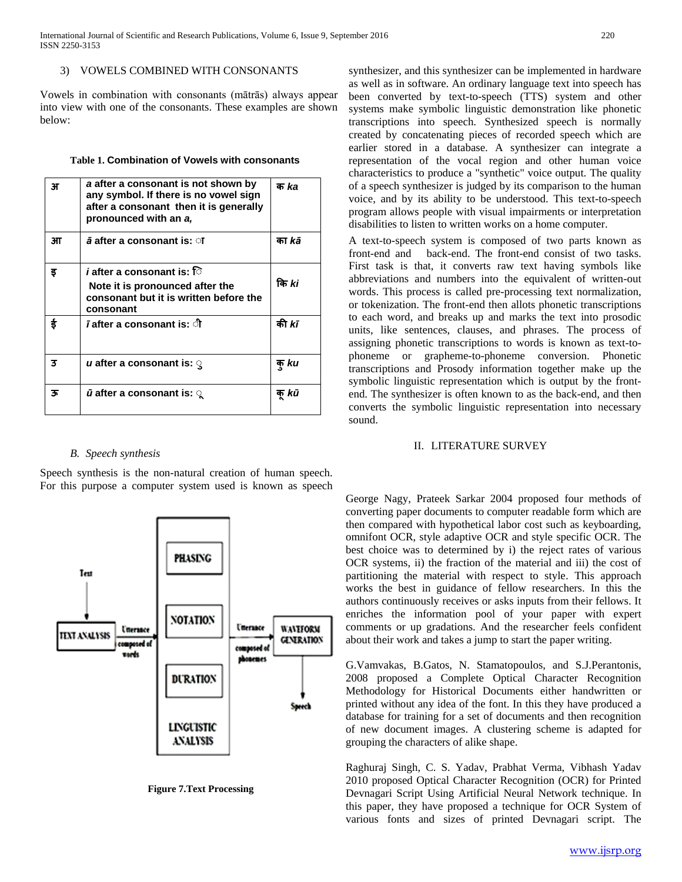#### 3) VOWELS COMBINED WITH CONSONANTS

Vowels in combination with consonants (mātrās) always appear into view with one of the consonants. These examples are shown below:

#### **Table 1. Combination of Vowels with consonants**

| 3F | a after a consonant is not shown by<br>any symbol. If there is no vowel sign<br>after a consonant then it is generally<br>pronounced with an a, | क ka         |
|----|-------------------------------------------------------------------------------------------------------------------------------------------------|--------------|
| ЭП | $\bar{a}$ after a consonant is: ा                                                                                                               | का kā        |
| इ  | <i>i</i> after a consonant is: ि<br>Note it is pronounced after the<br>consonant but it is written before the<br>consonant                      | कि ki        |
| ई  | <i>ī</i> after a consonant is: ी                                                                                                                | की <i>kī</i> |
| 3  | u after a consonant is: $\mathbb Q$                                                                                                             | क् ku        |
| 35 | $\bar{u}$ after a consonant is: $\gamma$                                                                                                        | क kū         |

#### *B. Speech synthesis*

Speech synthesis is the non-natural creation of human speech. For this purpose a computer system used is known as speech



 **Figure 7.Text Processing**

synthesizer, and this synthesizer can be implemented in hardware as well as in software. An ordinary language text into speech has been converted by text-to-speech (TTS) system and other systems make symbolic linguistic demonstration like phonetic transcriptions into speech. Synthesized speech is normally created by concatenating pieces of recorded speech which are earlier stored in a database. A synthesizer can integrate a representation of the vocal region and other human voice characteristics to produce a "synthetic" voice output. The quality of a speech synthesizer is judged by its comparison to the human voice, and by its ability to be understood. This text-to-speech program allows people with visual impairments or interpretation disabilities to listen to written works on a home computer.

A text-to-speech system is composed of two parts known as front-end and back-end. The front-end consist of two tasks. First task is that, it converts raw text having symbols like abbreviations and numbers into the equivalent of written-out words. This process is called pre-processing text normalization, or tokenization. The front-end then allots phonetic transcriptions to each word, and breaks up and marks the text into prosodic units, like sentences, clauses, and phrases. The process of assigning phonetic transcriptions to words is known as text-tophoneme or grapheme-to-phoneme conversion. Phonetic transcriptions and Prosody information together make up the symbolic linguistic representation which is output by the frontend. The synthesizer is often known to as the back-end, and then converts the symbolic linguistic representation into necessary sound.

## II. LITERATURE SURVEY

George Nagy, Prateek Sarkar 2004 proposed four methods of converting paper documents to computer readable form which are then compared with hypothetical labor cost such as keyboarding, omnifont OCR, style adaptive OCR and style specific OCR. The best choice was to determined by i) the reject rates of various OCR systems, ii) the fraction of the material and iii) the cost of partitioning the material with respect to style. This approach works the best in guidance of fellow researchers. In this the authors continuously receives or asks inputs from their fellows. It enriches the information pool of your paper with expert comments or up gradations. And the researcher feels confident about their work and takes a jump to start the paper writing.

G.Vamvakas, B.Gatos, N. Stamatopoulos, and S.J.Perantonis, 2008 proposed a Complete Optical Character Recognition Methodology for Historical Documents either handwritten or printed without any idea of the font. In this they have produced a database for training for a set of documents and then recognition of new document images. A clustering scheme is adapted for grouping the characters of alike shape.

Raghuraj Singh, C. S. Yadav, Prabhat Verma, Vibhash Yadav 2010 proposed Optical Character Recognition (OCR) for Printed Devnagari Script Using Artificial Neural Network technique. In this paper, they have proposed a technique for OCR System of various fonts and sizes of printed Devnagari script. The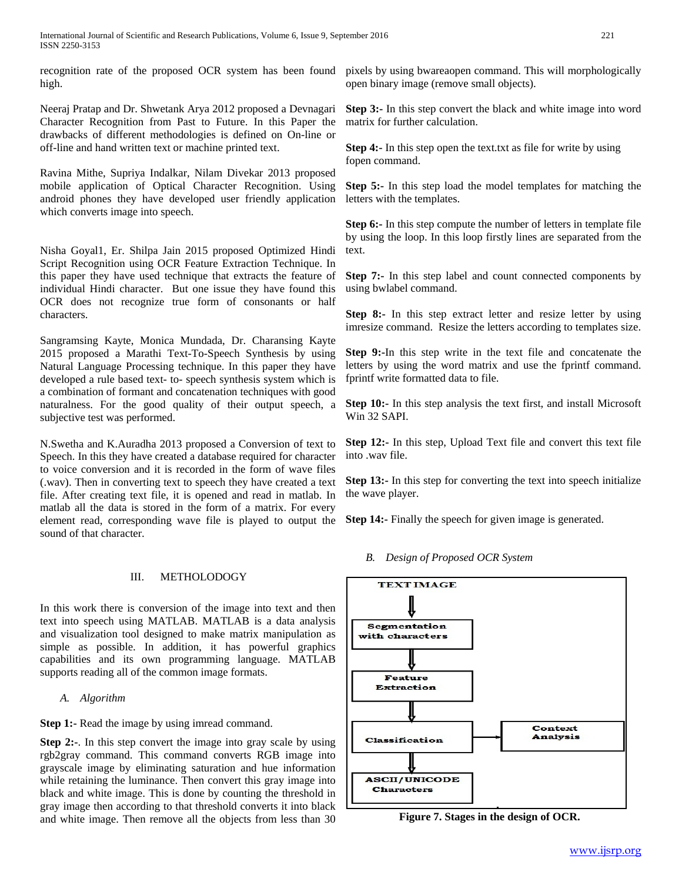recognition rate of the proposed OCR system has been found high.

Neeraj Pratap and Dr. Shwetank Arya 2012 proposed a Devnagari Character Recognition from Past to Future. In this Paper the drawbacks of different methodologies is defined on On-line or off-line and hand written text or machine printed text.

Ravina Mithe, Supriya Indalkar, Nilam Divekar 2013 proposed mobile application of Optical Character Recognition. Using android phones they have developed user friendly application which converts image into speech.

Nisha Goyal1, Er. Shilpa Jain 2015 proposed Optimized Hindi Script Recognition using OCR Feature Extraction Technique. In this paper they have used technique that extracts the feature of individual Hindi character. But one issue they have found this OCR does not recognize true form of consonants or half characters.

Sangramsing Kayte, Monica Mundada, Dr. Charansing Kayte 2015 proposed a Marathi Text-To-Speech Synthesis by using Natural Language Processing technique. In this paper they have developed a rule based text- to- speech synthesis system which is a combination of formant and concatenation techniques with good naturalness. For the good quality of their output speech, a subjective test was performed.

N.Swetha and K.Auradha 2013 proposed a Conversion of text to Speech. In this they have created a database required for character to voice conversion and it is recorded in the form of wave files (.wav). Then in converting text to speech they have created a text file. After creating text file, it is opened and read in matlab. In matlab all the data is stored in the form of a matrix. For every element read, corresponding wave file is played to output the sound of that character.

#### III. METHOLODOGY

In this work there is conversion of the image into text and then text into speech using MATLAB. MATLAB is a data analysis and visualization tool designed to make matrix manipulation as simple as possible. In addition, it has powerful graphics capabilities and its own programming language. MATLAB supports reading all of the common image formats.

*A. Algorithm*

**Step 1:-** Read the image by using imread command.

**Step 2:-**. In this step convert the image into gray scale by using rgb2gray command. This command converts RGB image into grayscale image by eliminating saturation and hue information while retaining the luminance. Then convert this gray image into black and white image. This is done by counting the threshold in gray image then according to that threshold converts it into black and white image. Then remove all the objects from less than 30

pixels by using bwareaopen command. This will morphologically open binary image (remove small objects).

**Step 3:-** In this step convert the black and white image into word matrix for further calculation.

**Step 4:-** In this step open the text.txt as file for write by using fopen command.

**Step 5:-** In this step load the model templates for matching the letters with the templates.

**Step 6:-** In this step compute the number of letters in template file by using the loop. In this loop firstly lines are separated from the text.

**Step 7:-** In this step label and count connected components by using bwlabel command.

**Step 8:-** In this step extract letter and resize letter by using imresize command. Resize the letters according to templates size.

**Step 9:-**In this step write in the text file and concatenate the letters by using the word matrix and use the fprintf command. fprintf write formatted data to file.

**Step 10:-** In this step analysis the text first, and install Microsoft Win 32 SAPI.

**Step 12:-** In this step, Upload Text file and convert this text file into .wav file.

**Step 13:-** In this step for converting the text into speech initialize the wave player.

**Step 14:-** Finally the speech for given image is generated.

*B. Design of Proposed OCR System*



**Figure 7. Stages in the design of OCR.**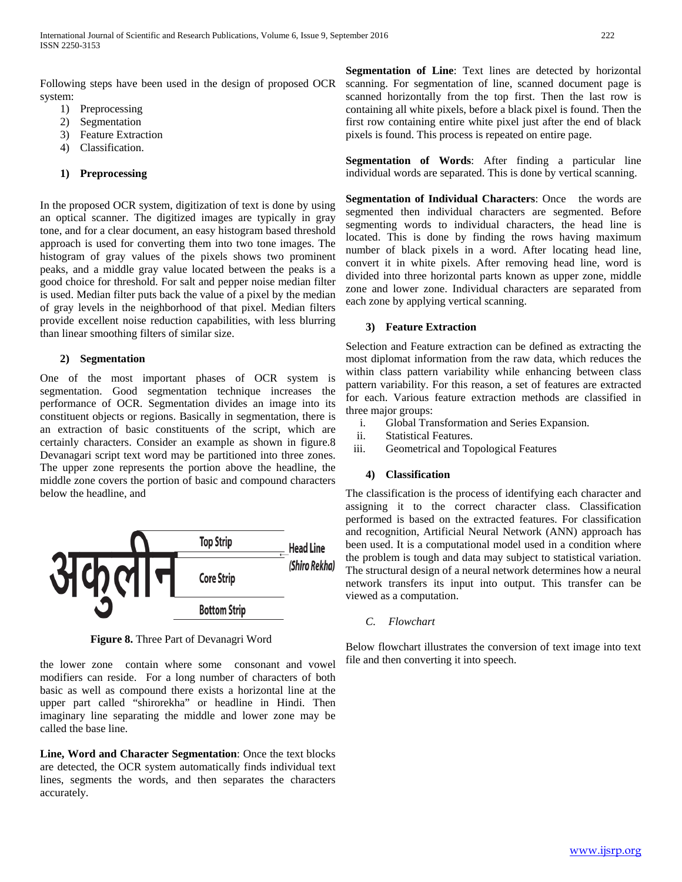Following steps have been used in the design of proposed OCR system:

- 1) Preprocessing
- 2) Segmentation
- 3) Feature Extraction
- 4) Classification.

#### **1) Preprocessing**

In the proposed OCR system, digitization of text is done by using an optical scanner. The digitized images are typically in gray tone, and for a clear document, an easy histogram based threshold approach is used for converting them into two tone images. The histogram of gray values of the pixels shows two prominent peaks, and a middle gray value located between the peaks is a good choice for threshold. For salt and pepper noise median filter is used. Median filter puts back the value of a pixel by the median of gray levels in the neighborhood of that pixel. Median filters provide excellent noise reduction capabilities, with less blurring than linear smoothing filters of similar size.

#### **2) Segmentation**

One of the most important phases of OCR system is segmentation. Good segmentation technique increases the performance of OCR. Segmentation divides an image into its constituent objects or regions. Basically in segmentation, there is an extraction of basic constituents of the script, which are certainly characters. Consider an example as shown in figure.8 Devanagari script text word may be partitioned into three zones. The upper zone represents the portion above the headline, the middle zone covers the portion of basic and compound characters below the headline, and



 **Figure 8.** Three Part of Devanagri Word

the lower zone contain where some consonant and vowel modifiers can reside. For a long number of characters of both basic as well as compound there exists a horizontal line at the upper part called "shirorekha" or headline in Hindi. Then imaginary line separating the middle and lower zone may be called the base line.

**Line, Word and Character Segmentation**: Once the text blocks are detected, the OCR system automatically finds individual text lines, segments the words, and then separates the characters accurately.

**Segmentation of Line**: Text lines are detected by horizontal scanning. For segmentation of line, scanned document page is scanned horizontally from the top first. Then the last row is containing all white pixels, before a black pixel is found. Then the first row containing entire white pixel just after the end of black pixels is found. This process is repeated on entire page.

**Segmentation of Words**: After finding a particular line individual words are separated. This is done by vertical scanning.

**Segmentation of Individual Characters:** Once the words are segmented then individual characters are segmented. Before segmenting words to individual characters, the head line is located. This is done by finding the rows having maximum number of black pixels in a word. After locating head line, convert it in white pixels. After removing head line, word is divided into three horizontal parts known as upper zone, middle zone and lower zone. Individual characters are separated from each zone by applying vertical scanning.

#### **3) Feature Extraction**

Selection and Feature extraction can be defined as extracting the most diplomat information from the raw data, which reduces the within class pattern variability while enhancing between class pattern variability. For this reason, a set of features are extracted for each. Various feature extraction methods are classified in three major groups:

- i. Global Transformation and Series Expansion.
- ii. Statistical Features.
- iii. Geometrical and Topological Features

#### **4) Classification**

The classification is the process of identifying each character and assigning it to the correct character class. Classification performed is based on the extracted features. For classification and recognition, Artificial Neural Network (ANN) approach has been used. It is a computational model used in a condition where the problem is tough and data may subject to statistical variation. The structural design of a neural network determines how a neural network transfers its input into output. This transfer can be viewed as a computation.

*C. Flowchart*

Below flowchart illustrates the conversion of text image into text file and then converting it into speech.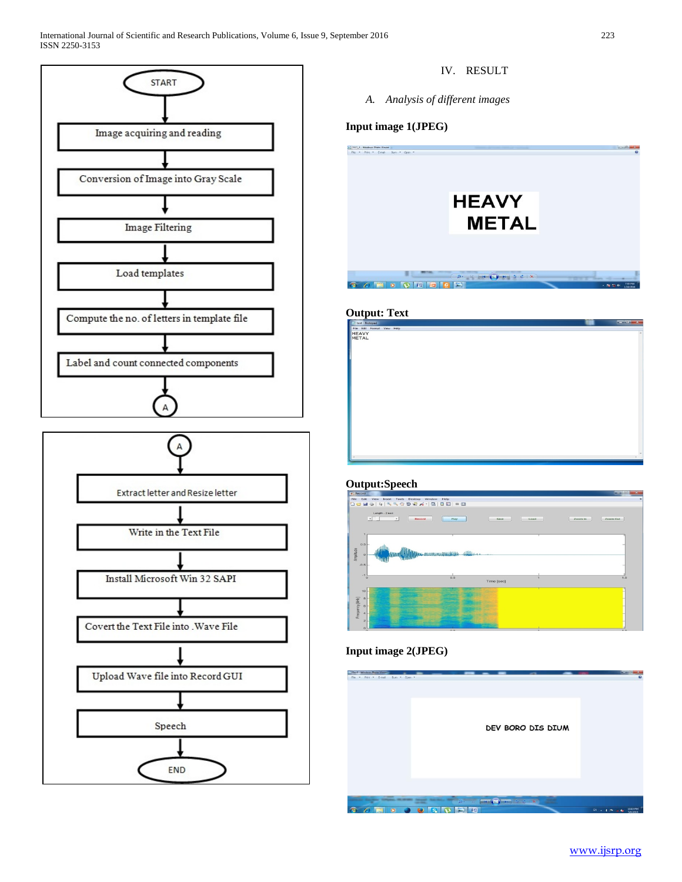International Journal of Scientific and Research Publications, Volume 6, Issue 9, September 2016 223 ISSN 2250-3153



IV. RESULT

*A. Analysis of different images*

# **Input image 1(JPEG)**

**HEAVY METAL** 

# **Output: Text**



# **Output:Speech**



# **Input image 2(JPEG)**

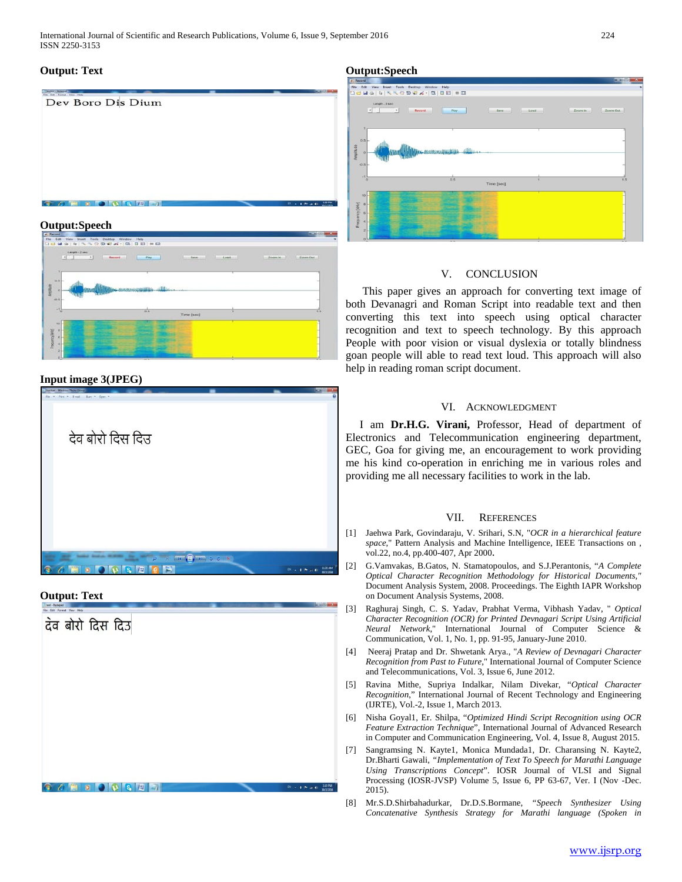International Journal of Scientific and Research Publications, Volume 6, Issue 9, September 2016 224 ISSN 2250-3153

# Dev Boro Dis Dium  $0 0 0 0 0 0 0 0 0$

# **Output:Speech**



# **Output:Speech**



# **Input image 3(JPEG)**



# **Output: Text**



# V. CONCLUSION

 This paper gives an approach for converting text image of both Devanagri and Roman Script into readable text and then converting this text into speech using optical character recognition and text to speech technology. By this approach People with poor vision or visual dyslexia or totally blindness goan people will able to read text loud. This approach will also help in reading roman script document.

# VI. ACKNOWLEDGMENT

 I am **Dr.H.G. Virani,** Professor, Head of department of Electronics and Telecommunication engineering department, GEC, Goa for giving me, an encouragement to work providing me his kind co-operation in enriching me in various roles and providing me all necessary facilities to work in the lab.

# VII. REFERENCES

- [1] Jaehwa Park, Govindaraju, V. Srihari, S.N, "*OCR in a hierarchical feature space*," Pattern Analysis and Machine Intelligence, IEEE Transactions on , vol.22, no.4, pp.400-407, Apr 2000.
- [2] G.Vamvakas, B.Gatos, N. Stamatopoulos, and S.J.Perantonis, "*A Complete Optical Character Recognition Methodology for Historical Documents,"* Document Analysis System, 2008. Proceedings. The Eighth IAPR Workshop on Document Analysis Systems, 2008.
- [3] Raghuraj Singh, C. S. Yadav, Prabhat Verma, Vibhash Yadav, " *Optical Character Recognition (OCR) for Printed Devnagari Script Using Artificial Neural Network*," International Journal of Computer Science & Communication, Vol. 1, No. 1, pp. 91-95, January-June 2010.
- [4] Neeraj Pratap and Dr. Shwetank Arya., "*A Review of Devnagari Character Recognition from Past to Future*," International Journal of Computer Science and Telecommunications, Vol. 3, Issue 6, June 2012.
- [5] Ravina Mithe, Supriya Indalkar, Nilam Divekar, "*Optical Character Recognition*," International Journal of Recent Technology and Engineering (IJRTE), Vol.-2, Issue 1, March 2013.
- [6] Nisha Goyal1, Er. Shilpa, "*Optimized Hindi Script Recognition using OCR Feature Extraction Technique*", International Journal of Advanced Research in Computer and Communication Engineering, Vol. 4, Issue 8, August 2015.
- [7] Sangramsing N. Kayte1, Monica Mundada1, Dr. Charansing N. Kayte2, Dr.Bharti Gawali, *"Implementation of Text To Speech for Marathi Language Using Transcriptions Concept*". IOSR Journal of VLSI and Signal Processing (IOSR-JVSP) Volume 5, Issue 6, PP 63-67, Ver. I (Nov -Dec. 2015).
- [8] Mr.S.D.Shirbahadurkar, Dr.D.S.Bormane, *"Speech Synthesizer Using Concatenative Synthesis Strategy for Marathi language (Spoken in*